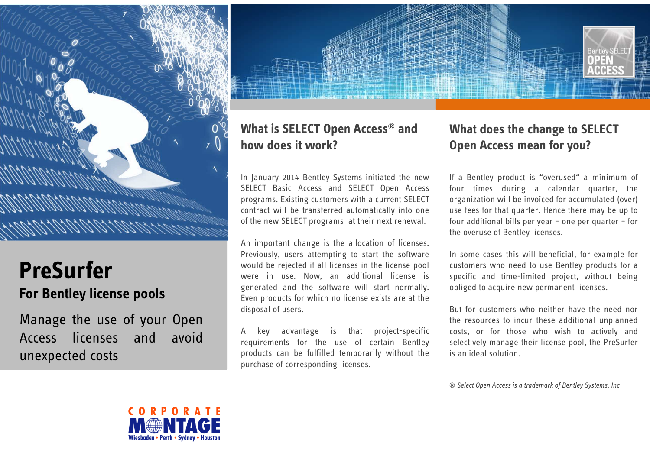

# **PreSurferFor Bentley license pools**

Manage the use of your Open<br>Access licenses and avoid Access licenses unexpected costs

## **What is SELECT Open Access® and how does it work?**

In January <sup>2014</sup> Bentley Systems initiated the new SELECT Basic Access and SELECT Open Access programs. Existing customers with <sup>a</sup> current SELECT contract will be transferred automatically into one of the new SELECT programs at their next renewal.

An important change is the allocation of licenses. Previously, users attempting to start the software would be rejected if all licenses in the license pool were in use. Now, an additional license is generated and the software will start normally. Even products for which no license exists are at the disposal of users.

<sup>A</sup> key advantage is that project-specific requirements for the use of certain Bentley products can be fulfilled temporarily without the purchase of corresponding licenses.

#### **What does the change to SELECT Open Access mean for you?**

If <sup>a</sup> Bentley product is "overused" <sup>a</sup> minimum of four times during <sup>a</sup> calendar quarter, the organization will be invoiced for accumulated (over) use fees for that quarter. Hence there may be up to four additional bills per year – one per quarter – for the overuse of Bentley licenses.

In some cases this will beneficial, for example for customers who need to use Bentley products for <sup>a</sup> specific and time-limited project, without being obliged to acquire new permanent licenses.

But for customers who neither have the need nor the resources to incur these additional unplanned costs, or for those who wish to actively and selectively manage their license pool, the PreSurfer is an ideal solution.

*® Select Open Access is <sup>a</sup> trademark of Bentley Systems, Inc*